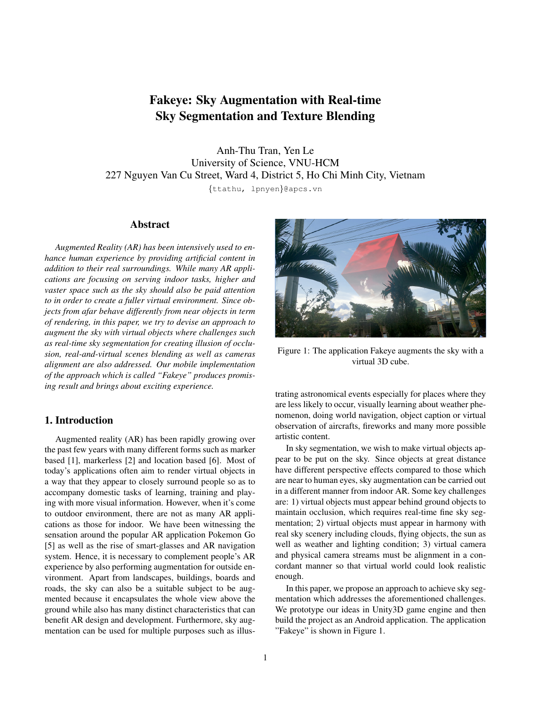# Fakeye: Sky Augmentation with Real-time Sky Segmentation and Texture Blending

Anh-Thu Tran, Yen Le University of Science, VNU-HCM 227 Nguyen Van Cu Street, Ward 4, District 5, Ho Chi Minh City, Vietnam

{ttathu, lpnyen}@apcs.vn

# Abstract

*Augmented Reality (AR) has been intensively used to enhance human experience by providing artificial content in addition to their real surroundings. While many AR applications are focusing on serving indoor tasks, higher and vaster space such as the sky should also be paid attention to in order to create a fuller virtual environment. Since objects from afar behave differently from near objects in term of rendering, in this paper, we try to devise an approach to augment the sky with virtual objects where challenges such as real-time sky segmentation for creating illusion of occlusion, real-and-virtual scenes blending as well as cameras alignment are also addressed. Our mobile implementation of the approach which is called "Fakeye" produces promising result and brings about exciting experience.*

# 1. Introduction

Augmented reality (AR) has been rapidly growing over the past few years with many different forms such as marker based [1], markerless [2] and location based [6]. Most of today's applications often aim to render virtual objects in a way that they appear to closely surround people so as to accompany domestic tasks of learning, training and playing with more visual information. However, when it's come to outdoor environment, there are not as many AR applications as those for indoor. We have been witnessing the sensation around the popular AR application Pokemon Go [5] as well as the rise of smart-glasses and AR navigation system. Hence, it is necessary to complement people's AR experience by also performing augmentation for outside environment. Apart from landscapes, buildings, boards and roads, the sky can also be a suitable subject to be augmented because it encapsulates the whole view above the ground while also has many distinct characteristics that can benefit AR design and development. Furthermore, sky augmentation can be used for multiple purposes such as illus-



Figure 1: The application Fakeye augments the sky with a virtual 3D cube.

trating astronomical events especially for places where they are less likely to occur, visually learning about weather phenomenon, doing world navigation, object caption or virtual observation of aircrafts, fireworks and many more possible artistic content.

In sky segmentation, we wish to make virtual objects appear to be put on the sky. Since objects at great distance have different perspective effects compared to those which are near to human eyes, sky augmentation can be carried out in a different manner from indoor AR. Some key challenges are: 1) virtual objects must appear behind ground objects to maintain occlusion, which requires real-time fine sky segmentation; 2) virtual objects must appear in harmony with real sky scenery including clouds, flying objects, the sun as well as weather and lighting condition; 3) virtual camera and physical camera streams must be alignment in a concordant manner so that virtual world could look realistic enough.

In this paper, we propose an approach to achieve sky segmentation which addresses the aforementioned challenges. We prototype our ideas in Unity3D game engine and then build the project as an Android application. The application "Fakeye" is shown in Figure 1.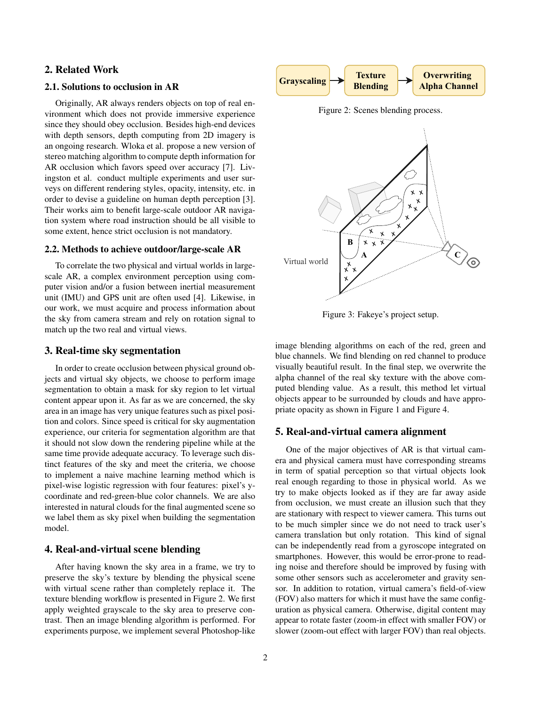# 2. Related Work

# 2.1. Solutions to occlusion in AR

Originally, AR always renders objects on top of real environment which does not provide immersive experience since they should obey occlusion. Besides high-end devices with depth sensors, depth computing from 2D imagery is an ongoing research. Wloka et al. propose a new version of stereo matching algorithm to compute depth information for AR occlusion which favors speed over accuracy [7]. Livingston et al. conduct multiple experiments and user surveys on different rendering styles, opacity, intensity, etc. in order to devise a guideline on human depth perception [3]. Their works aim to benefit large-scale outdoor AR navigation system where road instruction should be all visible to some extent, hence strict occlusion is not mandatory.

# 2.2. Methods to achieve outdoor/large-scale AR

To correlate the two physical and virtual worlds in largescale AR, a complex environment perception using computer vision and/or a fusion between inertial measurement unit (IMU) and GPS unit are often used [4]. Likewise, in our work, we must acquire and process information about the sky from camera stream and rely on rotation signal to match up the two real and virtual views.

## 3. Real-time sky segmentation

In order to create occlusion between physical ground objects and virtual sky objects, we choose to perform image segmentation to obtain a mask for sky region to let virtual content appear upon it. As far as we are concerned, the sky area in an image has very unique features such as pixel position and colors. Since speed is critical for sky augmentation experience, our criteria for segmentation algorithm are that it should not slow down the rendering pipeline while at the same time provide adequate accuracy. To leverage such distinct features of the sky and meet the criteria, we choose to implement a naive machine learning method which is pixel-wise logistic regression with four features: pixel's ycoordinate and red-green-blue color channels. We are also interested in natural clouds for the final augmented scene so we label them as sky pixel when building the segmentation model.

# 4. Real-and-virtual scene blending

After having known the sky area in a frame, we try to preserve the sky's texture by blending the physical scene with virtual scene rather than completely replace it. The texture blending workflow is presented in Figure 2. We first apply weighted grayscale to the sky area to preserve contrast. Then an image blending algorithm is performed. For experiments purpose, we implement several Photoshop-like



Figure 2: Scenes blending process.



Figure 3: Fakeye's project setup.

image blending algorithms on each of the red, green and blue channels. We find blending on red channel to produce visually beautiful result. In the final step, we overwrite the alpha channel of the real sky texture with the above computed blending value. As a result, this method let virtual objects appear to be surrounded by clouds and have appropriate opacity as shown in Figure 1 and Figure 4.

### 5. Real-and-virtual camera alignment

One of the major objectives of AR is that virtual camera and physical camera must have corresponding streams in term of spatial perception so that virtual objects look real enough regarding to those in physical world. As we try to make objects looked as if they are far away aside from occlusion, we must create an illusion such that they are stationary with respect to viewer camera. This turns out to be much simpler since we do not need to track user's camera translation but only rotation. This kind of signal can be independently read from a gyroscope integrated on smartphones. However, this would be error-prone to reading noise and therefore should be improved by fusing with some other sensors such as accelerometer and gravity sensor. In addition to rotation, virtual camera's field-of-view (FOV) also matters for which it must have the same configuration as physical camera. Otherwise, digital content may appear to rotate faster (zoom-in effect with smaller FOV) or slower (zoom-out effect with larger FOV) than real objects.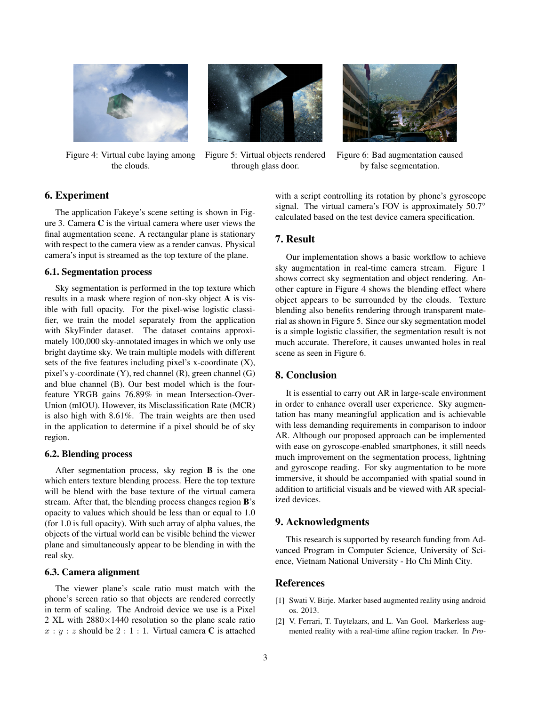

Figure 4: Virtual cube laying among the clouds.



Figure 5: Virtual objects rendered through glass door.



Figure 6: Bad augmentation caused by false segmentation.

# 6. Experiment

The application Fakeye's scene setting is shown in Figure 3. Camera C is the virtual camera where user views the final augmentation scene. A rectangular plane is stationary with respect to the camera view as a render canvas. Physical camera's input is streamed as the top texture of the plane.

### 6.1. Segmentation process

Sky segmentation is performed in the top texture which results in a mask where region of non-sky object A is visible with full opacity. For the pixel-wise logistic classifier, we train the model separately from the application with SkyFinder dataset. The dataset contains approximately 100,000 sky-annotated images in which we only use bright daytime sky. We train multiple models with different sets of the five features including pixel's x-coordinate (X), pixel's y-coordinate (Y), red channel (R), green channel (G) and blue channel (B). Our best model which is the fourfeature YRGB gains 76.89% in mean Intersection-Over-Union (mIOU). However, its Misclassification Rate (MCR) is also high with 8.61%. The train weights are then used in the application to determine if a pixel should be of sky region.

#### 6.2. Blending process

After segmentation process, sky region B is the one which enters texture blending process. Here the top texture will be blend with the base texture of the virtual camera stream. After that, the blending process changes region B's opacity to values which should be less than or equal to 1.0 (for 1.0 is full opacity). With such array of alpha values, the objects of the virtual world can be visible behind the viewer plane and simultaneously appear to be blending in with the real sky.

#### 6.3. Camera alignment

The viewer plane's scale ratio must match with the phone's screen ratio so that objects are rendered correctly in term of scaling. The Android device we use is a Pixel 2 XL with  $2880\times1440$  resolution so the plane scale ratio  $x : y : z$  should be  $2 : 1 : 1$ . Virtual camera C is attached

with a script controlling its rotation by phone's gyroscope signal. The virtual camera's FOV is approximately 50.7° calculated based on the test device camera specification.

# 7. Result

Our implementation shows a basic workflow to achieve sky augmentation in real-time camera stream. Figure 1 shows correct sky segmentation and object rendering. Another capture in Figure 4 shows the blending effect where object appears to be surrounded by the clouds. Texture blending also benefits rendering through transparent material as shown in Figure 5. Since our sky segmentation model is a simple logistic classifier, the segmentation result is not much accurate. Therefore, it causes unwanted holes in real scene as seen in Figure 6.

# 8. Conclusion

It is essential to carry out AR in large-scale environment in order to enhance overall user experience. Sky augmentation has many meaningful application and is achievable with less demanding requirements in comparison to indoor AR. Although our proposed approach can be implemented with ease on gyroscope-enabled smartphones, it still needs much improvement on the segmentation process, lightning and gyroscope reading. For sky augmentation to be more immersive, it should be accompanied with spatial sound in addition to artificial visuals and be viewed with AR specialized devices.

# 9. Acknowledgments

This research is supported by research funding from Advanced Program in Computer Science, University of Science, Vietnam National University - Ho Chi Minh City.

# References

- [1] Swati V. Birje. Marker based augmented reality using android os. 2013.
- [2] V. Ferrari, T. Tuytelaars, and L. Van Gool. Markerless augmented reality with a real-time affine region tracker. In *Pro-*